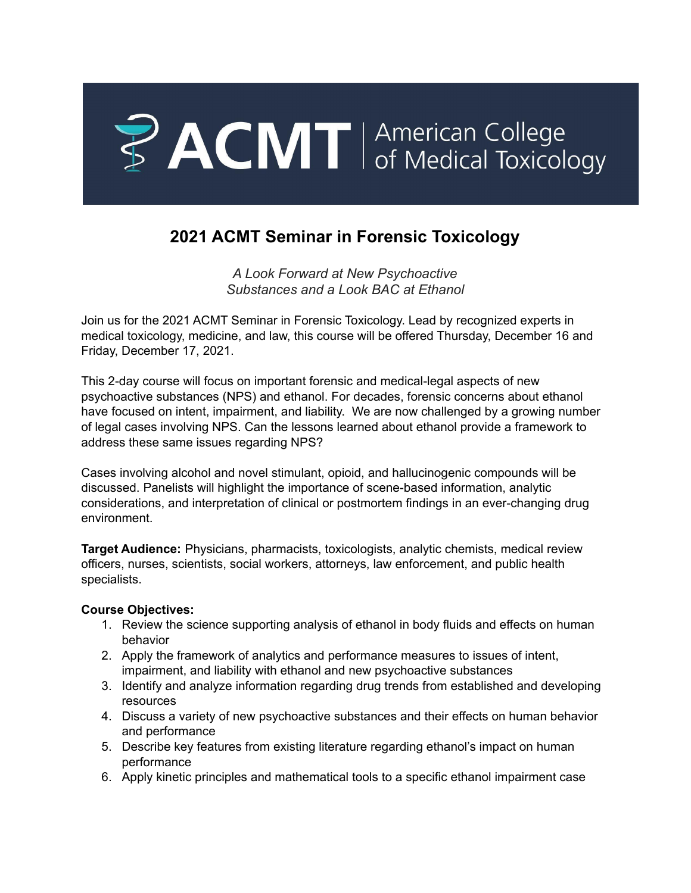

# **2021 ACMT Seminar in Forensic Toxicology**

*A Look Forward at New Psychoactive Substances and a Look BAC at Ethanol*

Join us for the 2021 ACMT Seminar in Forensic Toxicology. Lead by recognized experts in medical toxicology, medicine, and law, this course will be offered Thursday, December 16 and Friday, December 17, 2021.

This 2-day course will focus on important forensic and medical-legal aspects of new psychoactive substances (NPS) and ethanol. For decades, forensic concerns about ethanol have focused on intent, impairment, and liability. We are now challenged by a growing number of legal cases involving NPS. Can the lessons learned about ethanol provide a framework to address these same issues regarding NPS?

Cases involving alcohol and novel stimulant, opioid, and hallucinogenic compounds will be discussed. Panelists will highlight the importance of scene-based information, analytic considerations, and interpretation of clinical or postmortem findings in an ever-changing drug environment.

**Target Audience:** Physicians, pharmacists, toxicologists, analytic chemists, medical review officers, nurses, scientists, social workers, attorneys, law enforcement, and public health specialists.

### **Course Objectives:**

- 1. Review the science supporting analysis of ethanol in body fluids and effects on human behavior
- 2. Apply the framework of analytics and performance measures to issues of intent, impairment, and liability with ethanol and new psychoactive substances
- 3. Identify and analyze information regarding drug trends from established and developing resources
- 4. Discuss a variety of new psychoactive substances and their effects on human behavior and performance
- 5. Describe key features from existing literature regarding ethanol's impact on human performance
- 6. Apply kinetic principles and mathematical tools to a specific ethanol impairment case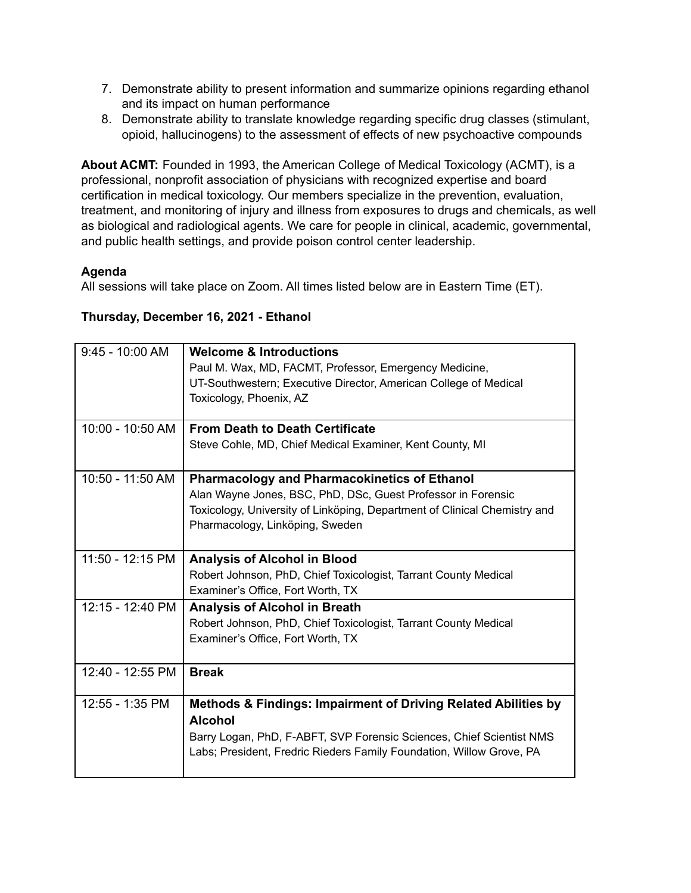- 7. Demonstrate ability to present information and summarize opinions regarding ethanol and its impact on human performance
- 8. Demonstrate ability to translate knowledge regarding specific drug classes (stimulant, opioid, hallucinogens) to the assessment of effects of new psychoactive compounds

**About ACMT:** Founded in 1993, the American College of Medical Toxicology (ACMT), is a professional, nonprofit association of physicians with recognized expertise and board certification in medical toxicology. Our members specialize in the prevention, evaluation, treatment, and monitoring of injury and illness from exposures to drugs and chemicals, as well as biological and radiological agents. We care for people in clinical, academic, governmental, and public health settings, and provide poison control center leadership.

## **Agenda**

All sessions will take place on Zoom. All times listed below are in Eastern Time (ET).

### **Thursday, December 16, 2021 - Ethanol**

| $9:45 - 10:00$ AM | <b>Welcome &amp; Introductions</b>                                        |
|-------------------|---------------------------------------------------------------------------|
|                   | Paul M. Wax, MD, FACMT, Professor, Emergency Medicine,                    |
|                   | UT-Southwestern; Executive Director, American College of Medical          |
|                   | Toxicology, Phoenix, AZ                                                   |
|                   |                                                                           |
| 10:00 - 10:50 AM  | <b>From Death to Death Certificate</b>                                    |
|                   | Steve Cohle, MD, Chief Medical Examiner, Kent County, MI                  |
|                   |                                                                           |
| 10:50 - 11:50 AM  | <b>Pharmacology and Pharmacokinetics of Ethanol</b>                       |
|                   | Alan Wayne Jones, BSC, PhD, DSc, Guest Professor in Forensic              |
|                   | Toxicology, University of Linköping, Department of Clinical Chemistry and |
|                   | Pharmacology, Linköping, Sweden                                           |
|                   |                                                                           |
| 11:50 - 12:15 PM  | <b>Analysis of Alcohol in Blood</b>                                       |
|                   | Robert Johnson, PhD, Chief Toxicologist, Tarrant County Medical           |
|                   | Examiner's Office, Fort Worth, TX                                         |
| 12:15 - 12:40 PM  | <b>Analysis of Alcohol in Breath</b>                                      |
|                   | Robert Johnson, PhD, Chief Toxicologist, Tarrant County Medical           |
|                   | Examiner's Office, Fort Worth, TX                                         |
|                   |                                                                           |
| 12:40 - 12:55 PM  | <b>Break</b>                                                              |
|                   |                                                                           |
| $12:55 - 1:35$ PM | Methods & Findings: Impairment of Driving Related Abilities by            |
|                   | <b>Alcohol</b>                                                            |
|                   | Barry Logan, PhD, F-ABFT, SVP Forensic Sciences, Chief Scientist NMS      |
|                   | Labs; President, Fredric Rieders Family Foundation, Willow Grove, PA      |
|                   |                                                                           |
|                   |                                                                           |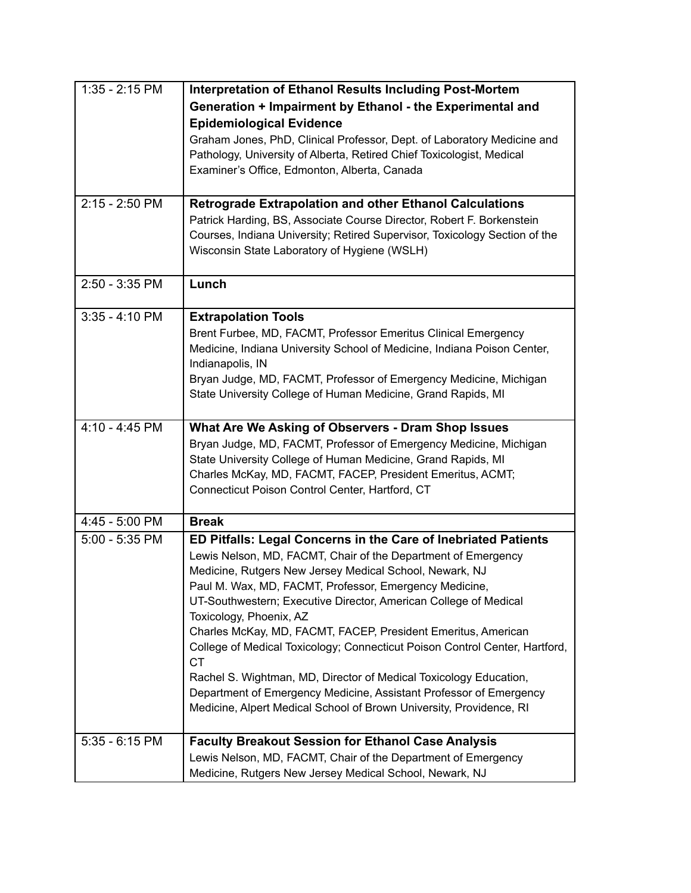| 1:35 - 2:15 PM   | <b>Interpretation of Ethanol Results Including Post-Mortem</b>                           |
|------------------|------------------------------------------------------------------------------------------|
|                  | Generation + Impairment by Ethanol - the Experimental and                                |
|                  | <b>Epidemiological Evidence</b>                                                          |
|                  | Graham Jones, PhD, Clinical Professor, Dept. of Laboratory Medicine and                  |
|                  | Pathology, University of Alberta, Retired Chief Toxicologist, Medical                    |
|                  | Examiner's Office, Edmonton, Alberta, Canada                                             |
|                  |                                                                                          |
| 2:15 - 2:50 PM   | <b>Retrograde Extrapolation and other Ethanol Calculations</b>                           |
|                  | Patrick Harding, BS, Associate Course Director, Robert F. Borkenstein                    |
|                  | Courses, Indiana University; Retired Supervisor, Toxicology Section of the               |
|                  | Wisconsin State Laboratory of Hygiene (WSLH)                                             |
|                  |                                                                                          |
| 2:50 - 3:35 PM   | Lunch                                                                                    |
|                  |                                                                                          |
| $3:35 - 4:10$ PM | <b>Extrapolation Tools</b>                                                               |
|                  | Brent Furbee, MD, FACMT, Professor Emeritus Clinical Emergency                           |
|                  | Medicine, Indiana University School of Medicine, Indiana Poison Center,                  |
|                  | Indianapolis, IN                                                                         |
|                  | Bryan Judge, MD, FACMT, Professor of Emergency Medicine, Michigan                        |
|                  | State University College of Human Medicine, Grand Rapids, MI                             |
| 4:10 - 4:45 PM   | What Are We Asking of Observers - Dram Shop Issues                                       |
|                  | Bryan Judge, MD, FACMT, Professor of Emergency Medicine, Michigan                        |
|                  | State University College of Human Medicine, Grand Rapids, MI                             |
|                  | Charles McKay, MD, FACMT, FACEP, President Emeritus, ACMT;                               |
|                  | Connecticut Poison Control Center, Hartford, CT                                          |
|                  |                                                                                          |
| 4:45 - 5:00 PM   | <b>Break</b>                                                                             |
| 5:00 - 5:35 PM   | ED Pitfalls: Legal Concerns in the Care of Inebriated Patients                           |
|                  | Lewis Nelson, MD, FACMT, Chair of the Department of Emergency                            |
|                  | Medicine, Rutgers New Jersey Medical School, Newark, NJ                                  |
|                  | Paul M. Wax, MD, FACMT, Professor, Emergency Medicine,                                   |
|                  | UT-Southwestern; Executive Director, American College of Medical                         |
|                  | Toxicology, Phoenix, AZ                                                                  |
|                  | Charles McKay, MD, FACMT, FACEP, President Emeritus, American                            |
|                  | College of Medical Toxicology; Connecticut Poison Control Center, Hartford,<br><b>CT</b> |
|                  | Rachel S. Wightman, MD, Director of Medical Toxicology Education,                        |
|                  | Department of Emergency Medicine, Assistant Professor of Emergency                       |
|                  | Medicine, Alpert Medical School of Brown University, Providence, RI                      |
|                  |                                                                                          |
| $5:35 - 6:15$ PM | <b>Faculty Breakout Session for Ethanol Case Analysis</b>                                |
|                  | Lewis Nelson, MD, FACMT, Chair of the Department of Emergency                            |
|                  | Medicine, Rutgers New Jersey Medical School, Newark, NJ                                  |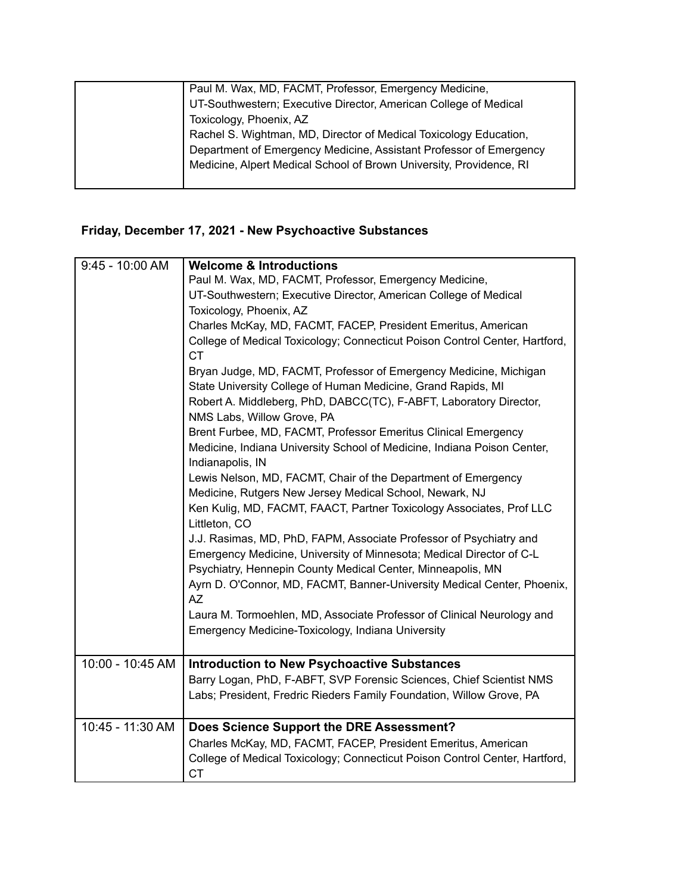| Paul M. Wax, MD, FACMT, Professor, Emergency Medicine,              |
|---------------------------------------------------------------------|
| UT-Southwestern; Executive Director, American College of Medical    |
| Toxicology, Phoenix, AZ                                             |
| Rachel S. Wightman, MD, Director of Medical Toxicology Education,   |
| Department of Emergency Medicine, Assistant Professor of Emergency  |
| Medicine, Alpert Medical School of Brown University, Providence, RI |
|                                                                     |

# **Friday, December 17, 2021 - New Psychoactive Substances**

| $9:45 - 10:00$ AM | <b>Welcome &amp; Introductions</b>                                                               |
|-------------------|--------------------------------------------------------------------------------------------------|
|                   | Paul M. Wax, MD, FACMT, Professor, Emergency Medicine,                                           |
|                   | UT-Southwestern; Executive Director, American College of Medical                                 |
|                   | Toxicology, Phoenix, AZ                                                                          |
|                   | Charles McKay, MD, FACMT, FACEP, President Emeritus, American                                    |
|                   | College of Medical Toxicology; Connecticut Poison Control Center, Hartford,                      |
|                   | <b>CT</b>                                                                                        |
|                   | Bryan Judge, MD, FACMT, Professor of Emergency Medicine, Michigan                                |
|                   | State University College of Human Medicine, Grand Rapids, MI                                     |
|                   | Robert A. Middleberg, PhD, DABCC(TC), F-ABFT, Laboratory Director,<br>NMS Labs, Willow Grove, PA |
|                   | Brent Furbee, MD, FACMT, Professor Emeritus Clinical Emergency                                   |
|                   | Medicine, Indiana University School of Medicine, Indiana Poison Center,                          |
|                   | Indianapolis, IN                                                                                 |
|                   | Lewis Nelson, MD, FACMT, Chair of the Department of Emergency                                    |
|                   | Medicine, Rutgers New Jersey Medical School, Newark, NJ                                          |
|                   | Ken Kulig, MD, FACMT, FAACT, Partner Toxicology Associates, Prof LLC                             |
|                   | Littleton, CO                                                                                    |
|                   | J.J. Rasimas, MD, PhD, FAPM, Associate Professor of Psychiatry and                               |
|                   | Emergency Medicine, University of Minnesota; Medical Director of C-L                             |
|                   | Psychiatry, Hennepin County Medical Center, Minneapolis, MN                                      |
|                   | Ayrn D. O'Connor, MD, FACMT, Banner-University Medical Center, Phoenix,                          |
|                   | AZ                                                                                               |
|                   | Laura M. Tormoehlen, MD, Associate Professor of Clinical Neurology and                           |
|                   | Emergency Medicine-Toxicology, Indiana University                                                |
|                   |                                                                                                  |
| 10:00 - 10:45 AM  |                                                                                                  |
|                   | <b>Introduction to New Psychoactive Substances</b>                                               |
|                   | Barry Logan, PhD, F-ABFT, SVP Forensic Sciences, Chief Scientist NMS                             |
|                   | Labs; President, Fredric Rieders Family Foundation, Willow Grove, PA                             |
|                   |                                                                                                  |
| 10:45 - 11:30 AM  | Does Science Support the DRE Assessment?                                                         |
|                   | Charles McKay, MD, FACMT, FACEP, President Emeritus, American                                    |
|                   | College of Medical Toxicology; Connecticut Poison Control Center, Hartford,                      |
|                   | <b>CT</b>                                                                                        |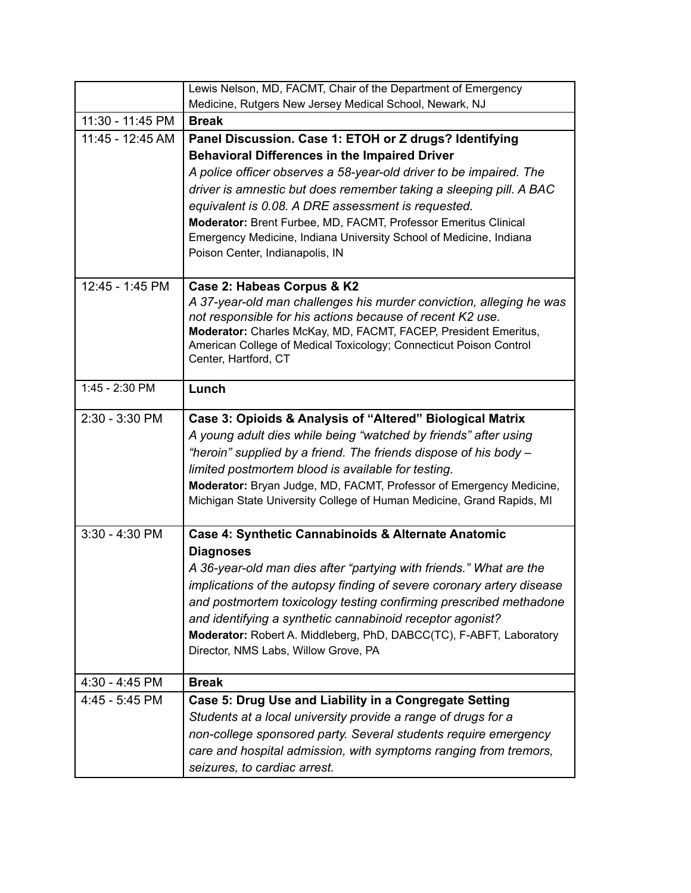|                  | Lewis Nelson, MD, FACMT, Chair of the Department of Emergency                                               |
|------------------|-------------------------------------------------------------------------------------------------------------|
|                  | Medicine, Rutgers New Jersey Medical School, Newark, NJ                                                     |
| 11:30 - 11:45 PM | <b>Break</b>                                                                                                |
| 11:45 - 12:45 AM | Panel Discussion. Case 1: ETOH or Z drugs? Identifying                                                      |
|                  | <b>Behavioral Differences in the Impaired Driver</b>                                                        |
|                  | A police officer observes a 58-year-old driver to be impaired. The                                          |
|                  | driver is amnestic but does remember taking a sleeping pill. A BAC                                          |
|                  | equivalent is 0.08. A DRE assessment is requested.                                                          |
|                  | Moderator: Brent Furbee, MD, FACMT, Professor Emeritus Clinical                                             |
|                  | Emergency Medicine, Indiana University School of Medicine, Indiana                                          |
|                  | Poison Center, Indianapolis, IN                                                                             |
| 12:45 - 1:45 PM  | Case 2: Habeas Corpus & K2                                                                                  |
|                  | A 37-year-old man challenges his murder conviction, alleging he was                                         |
|                  | not responsible for his actions because of recent K2 use.                                                   |
|                  | Moderator: Charles McKay, MD, FACMT, FACEP, President Emeritus,                                             |
|                  | American College of Medical Toxicology; Connecticut Poison Control                                          |
|                  | Center, Hartford, CT                                                                                        |
| 1:45 - 2:30 PM   | Lunch                                                                                                       |
| 2:30 - 3:30 PM   | Case 3: Opioids & Analysis of "Altered" Biological Matrix                                                   |
|                  | A young adult dies while being "watched by friends" after using                                             |
|                  | "heroin" supplied by a friend. The friends dispose of his body –                                            |
|                  | limited postmortem blood is available for testing.                                                          |
|                  | Moderator: Bryan Judge, MD, FACMT, Professor of Emergency Medicine,                                         |
|                  | Michigan State University College of Human Medicine, Grand Rapids, MI                                       |
| $3:30 - 4:30$ PM |                                                                                                             |
|                  | Case 4: Synthetic Cannabinoids & Alternate Anatomic<br><b>Diagnoses</b>                                     |
|                  | A 36-year-old man dies after "partying with friends." What are the                                          |
|                  |                                                                                                             |
|                  | implications of the autopsy finding of severe coronary artery disease                                       |
|                  | and postmortem toxicology testing confirming prescribed methadone                                           |
|                  | and identifying a synthetic cannabinoid receptor agonist?                                                   |
|                  | Moderator: Robert A. Middleberg, PhD, DABCC(TC), F-ABFT, Laboratory<br>Director, NMS Labs, Willow Grove, PA |
|                  |                                                                                                             |
| 4:30 - 4:45 PM   | <b>Break</b>                                                                                                |
| 4:45 - 5:45 PM   | Case 5: Drug Use and Liability in a Congregate Setting                                                      |
|                  | Students at a local university provide a range of drugs for a                                               |
|                  | non-college sponsored party. Several students require emergency                                             |
|                  | care and hospital admission, with symptoms ranging from tremors,                                            |
|                  | seizures, to cardiac arrest.                                                                                |